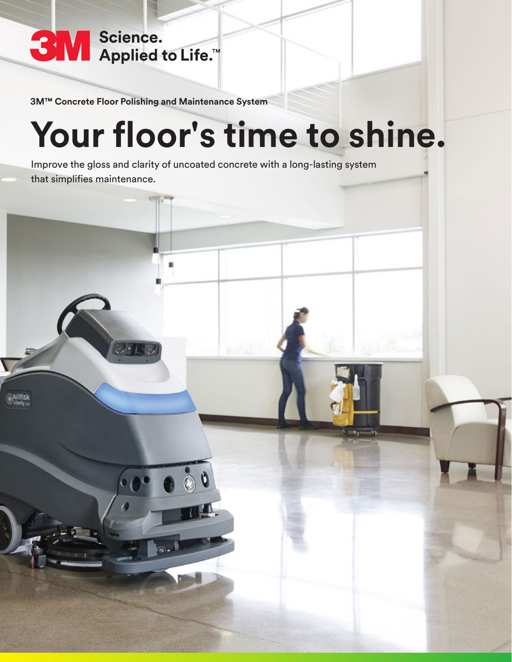

lfisk

**3M™ Concrete Floor Polishing and Maintenance System**

െ.

# **Your floor's time to shine.**

Improve the gloss and clarity of uncoated concrete with a long-lasting system that simplifies maintenance.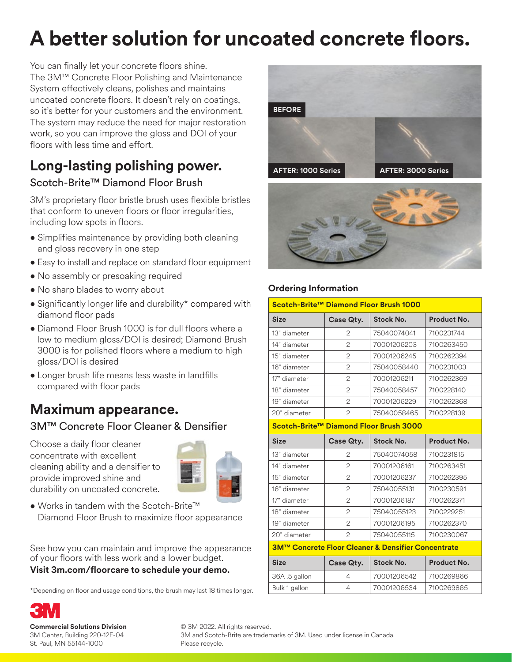## **A better solution for uncoated concrete floors.**

You can finally let your concrete floors shine. The 3M™ Concrete Floor Polishing and Maintenance System effectively cleans, polishes and maintains uncoated concrete floors. It doesn't rely on coatings, so it's better for your customers and the environment. The system may reduce the need for major restoration work, so you can improve the gloss and DOI of your floors with less time and effort.

#### **Long-lasting polishing power.** Scotch-Brite™ Diamond Floor Brush

3M's proprietary floor bristle brush uses flexible bristles that conform to uneven floors or floor irregularities, including low spots in floors.

- Simplifies maintenance by providing both cleaning and gloss recovery in one step
- Easy to install and replace on standard floor equipment
- No assembly or presoaking required
- No sharp blades to worry about
- Significantly longer life and durability\* compared with diamond floor pads
- Diamond Floor Brush 1000 is for dull floors where a low to medium gloss/DOI is desired; Diamond Brush 3000 is for polished floors where a medium to high gloss/DOI is desired
- Longer brush life means less waste in landfills compared with floor pads

#### **Maximum appearance.** 3M™ Concrete Floor Cleaner & Densifier

Choose a daily floor cleaner concentrate with excellent cleaning ability and a densifier to provide improved shine and durability on uncoated concrete.



• Works in tandem with the Scotch-Brite™ Diamond Floor Brush to maximize floor appearance

See how you can maintain and improve the appearance of your floors with less work and a lower budget. **Visit 3m.com/floorcare to schedule your demo.** 

\*Depending on floor and usage conditions, the brush may last 18 times longer.





#### **Ordering Information**

| Scotch-Brite™ Diamond Floor Brush 1000             |                |                  |                    |  |
|----------------------------------------------------|----------------|------------------|--------------------|--|
| <b>Size</b>                                        | Case Qty.      | <b>Stock No.</b> | Product No.        |  |
| 13" diameter                                       | $\mathbf{2}$   | 75040074041      | 7100231744         |  |
| 14" diameter                                       | $\overline{c}$ | 70001206203      | 7100263450         |  |
| 15" diameter                                       | $\overline{c}$ | 70001206245      | 7100262394         |  |
| 16" diameter                                       | $\overline{c}$ | 75040058440      | 7100231003         |  |
| 17" diameter                                       | $\mathfrak{D}$ | 70001206211      | 7100262369         |  |
| 18" diameter                                       | $\overline{2}$ | 75040058457      | 7100228140         |  |
| 19" diameter                                       | $\overline{2}$ | 70001206229      | 7100262368         |  |
| 20" diameter                                       | $\overline{2}$ | 75040058465      | 7100228139         |  |
| Scotch-Brite™ Diamond Floor Brush 3000             |                |                  |                    |  |
| <b>Size</b>                                        | Case Qty.      | <b>Stock No.</b> | Product No.        |  |
| 13" diameter                                       | $\overline{c}$ | 75040074058      | 7100231815         |  |
| 14" diameter                                       | $\overline{c}$ | 70001206161      | 7100263451         |  |
| 15" diameter                                       | $\overline{c}$ | 70001206237      | 7100262395         |  |
| 16" diameter                                       | $\overline{2}$ | 75040055131      | 7100230591         |  |
| 17" diameter                                       | $\overline{2}$ | 70001206187      | 7100262371         |  |
| 18" diameter                                       | $\mathcal{P}$  | 75040055123      | 7100229251         |  |
| 19" diameter                                       | $\overline{c}$ | 70001206195      | 7100262370         |  |
| 20" diameter                                       | $\overline{c}$ | 75040055115      | 7100230067         |  |
| 3M™ Concrete Floor Cleaner & Densifier Concentrate |                |                  |                    |  |
| <b>Size</b>                                        | Case Qty.      | <b>Stock No.</b> | <b>Product No.</b> |  |
| 36A .5 gallon                                      | $\overline{4}$ | 70001206542      | 7100269866         |  |
| Bulk 1 gallon                                      | $\overline{4}$ | 70001206534      | 7100269865         |  |

**Commercial Solutions Division** 3M Center, Building 220-12E-04 St. Paul, MN 55144-1000